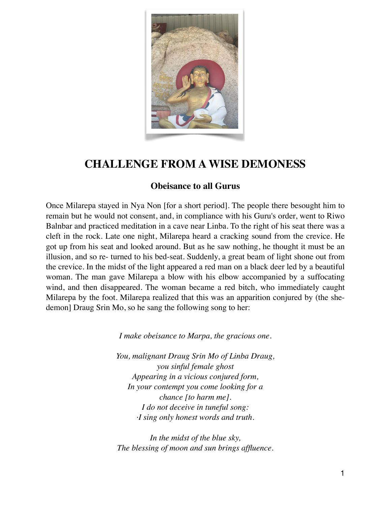

## **CHALLENGE FROM A WISE DEMONESS**

## **Obeisance to all Gurus**

Once Milarepa stayed in Nya Non [for a short period]. The people there besought him to remain but he would not consent, and, in compliance with his Guru's order, went to Riwo Balnbar and practiced meditation in a cave near Linba. To the right of his seat there was a cleft in the rock. Late one night, Milarepa heard a cracking sound from the crevice. He got up from his seat and looked around. But as he saw nothing, he thought it must be an illusion, and so re- turned to his bed-seat. Suddenly, a great beam of light shone out from the crevice. In the midst of the light appeared a red man on a black deer led by a beautiful woman. The man gave Milarepa a blow with his elbow accompanied by a suffocating wind, and then disappeared. The woman became a red bitch, who immediately caught Milarepa by the foot. Milarepa realized that this was an apparition conjured by (the shedemon] Draug Srin Mo, so he sang the following song to her:

*I make obeisance to Marpa, the gracious one.* 

*You, malignant Draug Srin Mo of Linba Draug, you sinful female ghost Appearing in a vicious conjured form, In your contempt you come looking for a chance [to harm me]. I do not deceive in tuneful song: ·I sing only honest words and truth.* 

*In the midst of the blue sky, The blessing of moon and sun brings affluence.*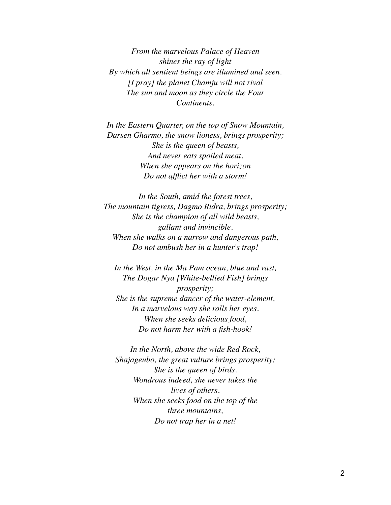*From the marvelous Palace of Heaven shines the ray of light By which all sentient beings are illumined and seen. [I pray] the planet Chamju will not rival The sun and moon as they circle the Four Continents.*

*In the Eastern Quarter, on the top of Snow Mountain, Darsen Gharmo, the snow lioness, brings prosperity; She is the queen of beasts, And never eats spoiled meat. When she appears on the horizon Do not afflict her with a storm!* 

*In the South, amid the forest trees, The mountain tigress, Dagmo Ridra, brings prosperity; She is the champion of all wild beasts, gallant and invincible. When she walks on a narrow and dangerous path, Do not ambush her in a hunter's trap!* 

*In the West, in the Ma Pam ocean, blue and vast, The Dogar Nya [White-bellied Fish] brings prosperity; She is the supreme dancer of the water-element, In a marvelous way she rolls her eyes. When she seeks delicious food, Do not harm her with a fish-hook!* 

*In the North, above the wide Red Rock, Shajageubo, the great vulture brings prosperity; She is the queen of birds. Wondrous indeed, she never takes the lives of others. When she seeks food on the top of the three mountains, Do not trap her in a net!*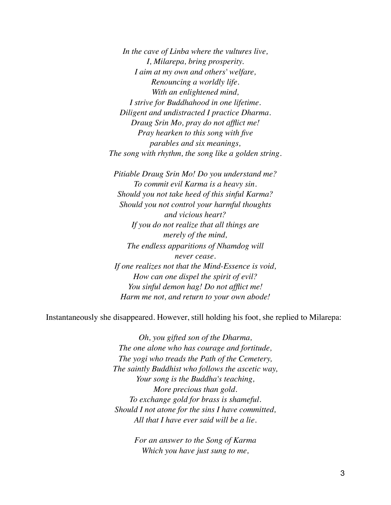*In the cave of Linba where the vultures live, I, Milarepa, bring prosperity. I aim at my own and others' welfare, Renouncing a worldly life. With an enlightened mind, I strive for Buddhahood in one lifetime. Diligent and undistracted I practice Dharma. Draug Srin Mo, pray do not afflict me! Pray hearken to this song with five parables and six meanings, The song with rhythm, the song like a golden string.* 

*Pitiable Draug Srin Mo! Do you understand me? To commit evil Karma is a heavy sin. Should you not take heed of this sinful Karma? Should you not control your harmful thoughts and vicious heart? If you do not realize that all things are merely of the mind, The endless apparitions of Nhamdog will never cease. If one realizes not that the Mind-Essence is void, How can one dispel the spirit of evil? You sinful demon hag! Do not afflict me! Harm me not, and return to your own abode!* 

Instantaneously she disappeared. However, still holding his foot, she replied to Milarepa:

*Oh, you gifted son of the Dharma, The one alone who has courage and fortitude, The yogi who treads the Path of the Cemetery, The saintly Buddhist who follows the ascetic way, Your song is the Buddha's teaching, More precious than gold. To exchange gold for brass is shameful. Should I not atone for the sins I have committed, All that I have ever said will be a lie.* 

> *For an answer to the Song of Karma Which you have just sung to me,*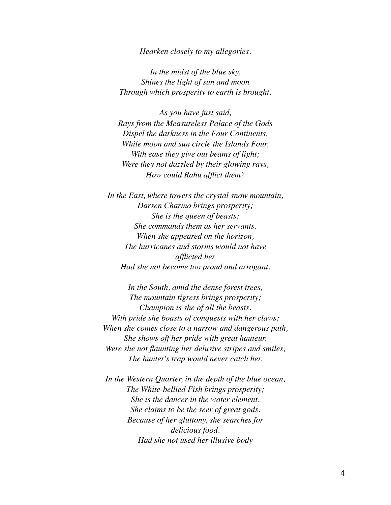*Hearken closely to my allegories.* 

*In the midst of the blue sky, Shines the light of sun and moon Through which prosperity to earth is brought.* 

*As you have just said, Rays from the Measureless Palace of the Gods Dispel the darkness in the Four Continents, While moon and sun circle the Islands Four, With ease they give out beams of light; Were they not dazzled by their glowing rays, How could Rahu afflict them?* 

*In the East, where towers the crystal snow mountain, Darsen Charmo brings prosperity; She is the queen of beasts; She commands them as her servants. When she appeared on the horizon, The hurricanes and storms would not have afflicted her Had she not become too proud and arrogant.* 

*In the South, amid the dense forest trees, The mountain tigress brings prosperity; Champion is she of all the beasts. With pride she boasts of conquests with her claws; When she comes close to a narrow and dangerous path, She shows off her pride with great hauteur. Were she not flaunting her delusive stripes and smiles, The hunter's trap would never catch her.* 

*In the Western Quarter, in the depth of the blue ocean, The White-bellied Fish brings prosperity; She is the dancer in the water element. She claims to be the seer of great gods. Because of her gluttony, she searches for delicious food. Had she not used her illusive body*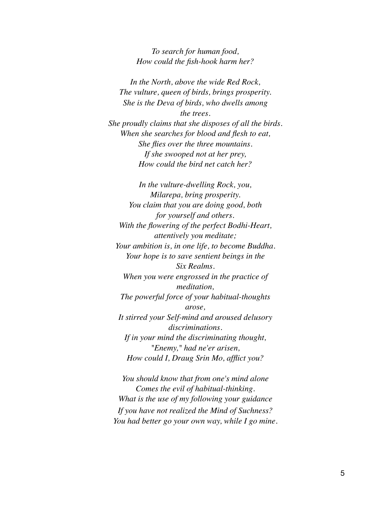*To search for human food, How could the fish-hook harm her?* 

*In the North, above the wide Red Rock, The vulture, queen of birds, brings prosperity. She is the Deva of birds, who dwells among the trees. She proudly claims that she disposes of all the birds. When she searches for blood and flesh to eat, She flies over the three mountains. If she swooped not at her prey, How could the bird net catch her?* 

*In the vulture-dwelling Rock, you, Milarepa, bring prosperity. You claim that you are doing good, both for yourself and others. With the flowering of the perfect Bodhi-Heart, attentively you meditate; Your ambition is, in one life, to become Buddha. Your hope is to save sentient beings in the Six Realms. When you were engrossed in the practice of meditation, The powerful force of your habitual-thoughts arose, It stirred your Self-mind and aroused delusory discriminations. If in your mind the discriminating thought, "Enemy," had ne'er arisen, How could I, Draug Srin Mo, afflict you?* 

*You should know that from one's mind alone Comes the evil of habitual-thinking. What is the use of my following your guidance If you have not realized the Mind of Suchness? You had better go your own way, while I go mine.*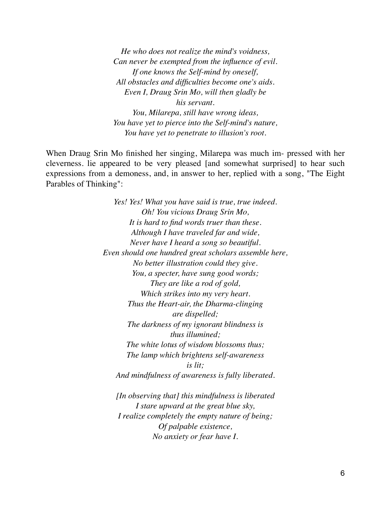*He who does not realize the mind's voidness, Can never be exempted from the influence of evil. If one knows the Self-mind by oneself, All obstacles and difficulties become one's aids. Even I, Draug Srin Mo, will then gladly be his servant. You, Milarepa, still have wrong ideas, You have yet to pierce into the Self-mind's nature, You have yet to penetrate to illusion's root.* 

When Draug Srin Mo finished her singing, Milarepa was much im- pressed with her cleverness. lie appeared to be very pleased [and somewhat surprised] to hear such expressions from a demoness, and, in answer to her, replied with a song, "The Eight Parables of Thinking":

> *Yes! Yes! What you have said is true, true indeed. Oh! You vicious Draug Srin Mo, It is hard to find words truer than these. Although I have traveled far and wide, Never have I heard a song so beautiful. Even should one hundred great scholars assemble here, No better illustration could they give. You, a specter, have sung good words; They are like a rod of gold, Which strikes into my very heart. Thus the Heart-air, the Dharma-clinging are dispelled; The darkness of my ignorant blindness is thus illumined; The white lotus of wisdom blossoms thus; The lamp which brightens self-awareness is lit; And mindfulness of awareness is fully liberated. [In observing that] this mindfulness is liberated I stare upward at the great blue sky, I realize completely the empty nature of being; Of palpable existence, No anxiety or fear have I.*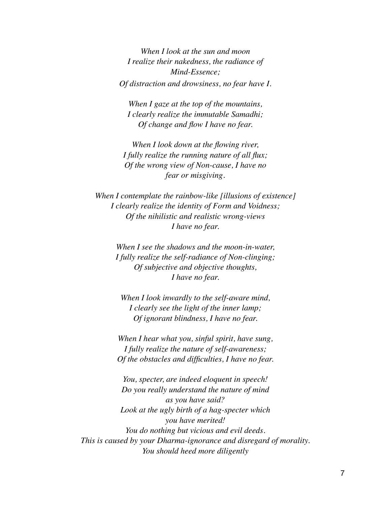*When I look at the sun and moon I realize their nakedness, the radiance of Mind-Essence; Of distraction and drowsiness, no fear have I.* 

*When I gaze at the top of the mountains, I clearly realize the immutable Samadhi; Of change and flow I have no fear.* 

*When I look down at the flowing river, I fully realize the running nature of all flux; Of the wrong view of Non-cause, I have no fear or misgiving.* 

*When I contemplate the rainbow-like [illusions of existence] I clearly realize the identity of Form and Voidness; Of the nihilistic and realistic wrong-views I have no fear.* 

*When I see the shadows and the moon-in-water, I fully realize the self-radiance of Non-clinging; Of subjective and objective thoughts, I have no fear.* 

*When I look inwardly to the self-aware mind, I clearly see the light of the inner lamp; Of ignorant blindness, I have no fear.* 

*When I hear what you, sinful spirit, have sung, I fully realize the nature of self-awareness; Of the obstacles and difficulties, I have no fear.* 

*You, specter, are indeed eloquent in speech! Do you really understand the nature of mind as you have said? Look at the ugly birth of a hag-specter which you have merited! You do nothing but vicious and evil deeds. This is caused by your Dharma-ignorance and disregard of morality. You should heed more diligently*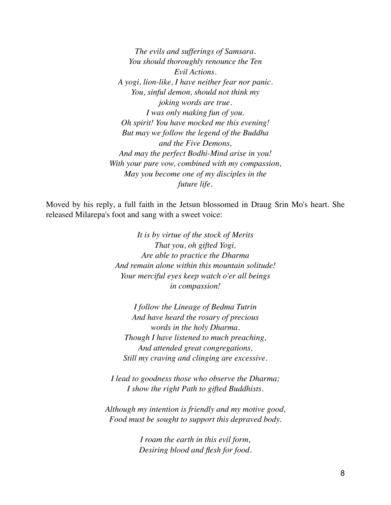*The evils and sufferings of Samsara. You should thoroughly renounce the Ten Evil Actions. A yogi, lion-like, I have neither fear nor panic. You, sinful demon, should not think my joking words are true. I was only making fun of you. Oh spirit! You have mocked me this evening! But may we follow the legend of the Buddha and the Five Demons, And may the perfect Bodhi-Mind arise in you! With your pure vow, combined with my compassion, May you become one of my disciples in the future life.* 

Moved by his reply, a full faith in the Jetsun blossomed in Draug Srin Mo's heart. She released Milarepa's foot and sang with a sweet voice:

> *It is by virtue of the stock of Merits That you, oh gifted Yogi, Are able to practice the Dharma And remain alone within this mountain solitude! Your merciful eyes keep watch o'er all beings in compassion!*

*I follow the Lineage of Bedma Tutrin And have heard the rosary of precious words in the holy Dharma. Though I have listened to much preaching, And attended great congregations, Still my craving and clinging are excessive.* 

*I lead to goodness those who observe the Dharma; I show the right Path to gifted Buddhists.* 

*Although my intention is friendly and my motive good, Food must be sought to support this depraved body.* 

> *I roam the earth in this evil form, Desiring blood and flesh for food.*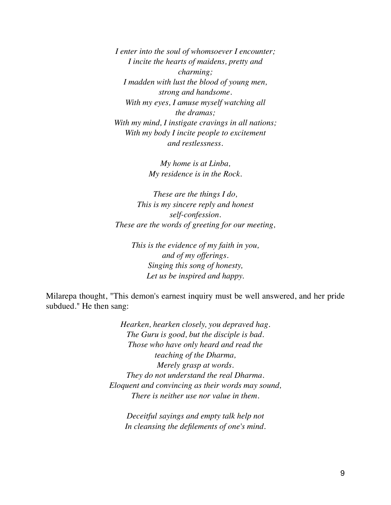*I enter into the soul of whomsoever I encounter; I incite the hearts of maidens, pretty and charming; I madden with lust the blood of young men, strong and handsome. With my eyes, I amuse myself watching all the dramas; With my mind, I instigate cravings in all nations; With my body I incite people to excitement and restlessness.* 

> *My home is at Linba, My residence is in the Rock.*

*These are the things I do, This is my sincere reply and honest self-confession. These are the words of greeting for our meeting,* 

> *This is the evidence of my faith in you, and of my offerings. Singing this song of honesty, Let us be inspired and happy.*

Milarepa thought, "This demon's earnest inquiry must be well answered, and her pride subdued." He then sang:

> *Hearken, hearken closely, you depraved hag. The Guru is good, but the disciple is bad. Those who have only heard and read the teaching of the Dharma, Merely grasp at words. They do not understand the real Dharma. Eloquent and convincing as their words may sound, There is neither use nor value in them.*

*Deceitful sayings and empty talk help not In cleansing the defilements of one's mind.*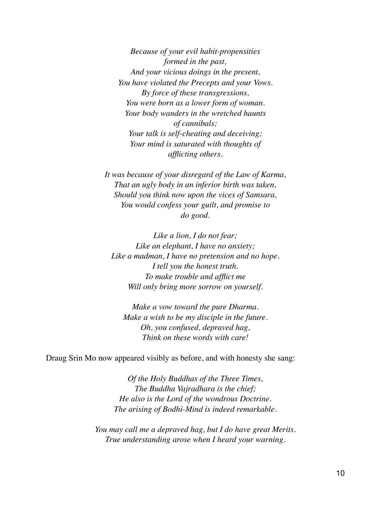*Because of your evil habit-propensities formed in the past, And your vicious doings in the present, You have violated the Precepts and your Vows. By force of these transgressions, You were born as a lower form of woman. Your body wanders in the wretched haunts of cannibals; Your talk is self-cheating and deceiving; Your mind is saturated with thoughts of afflicting others.* 

*It was because of your disregard of the Law of Karma, That an ugly body in an inferior birth was taken, Should you think now upon the vices of Samsara, You would confess your guilt, and promise to do good.* 

*Like a lion, I do not fear; Like an elephant, I have no anxiety; Like a madman, I have no pretension and no hope. I tell you the honest truth. To make trouble and afflict me Will only bring more sorrow on yourself.* 

*Make a vow toward the pure Dharma. Make a wish to be my disciple in the future. Oh, you confused, depraved hag, Think on these words with care!* 

Draug Srin Mo now appeared visibly as before, and with honesty she sang:

*Of the Holy Buddhas of the Three Times, The Buddha Vajradhara is the chief; He also is the Lord of the wondrous Doctrine. The arising of Bodhi-Mind is indeed remarkable.* 

*You may call me a depraved hag, but I do have great Merits. True understanding arose when I heard your warning.*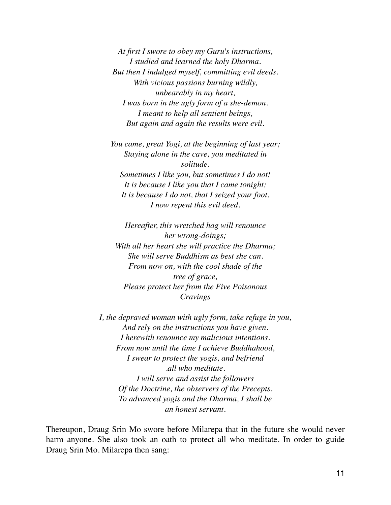*At first I swore to obey my Guru's instructions, I studied and learned the holy Dharma. But then I indulged myself, committing evil deeds. With vicious passions burning wildly, unbearably in my heart, I was born in the ugly form of a she-demon. I meant to help all sentient beings, But again and again the results were evil.* 

*You came, great Yogi, at the beginning of last year; Staying alone in the cave, you meditated in solitude. Sometimes I like you, but sometimes I do not! It is because I like you that I came tonight; It is because I do not, that I seized your foot. I now repent this evil deed.* 

*Hereafter, this wretched hag will renounce her wrong-doings; With all her heart she will practice the Dharma; She will serve Buddhism as best she can. From now on, with the cool shade of the tree of grace, Please protect her from the Five Poisonous Cravings* 

*I, the depraved woman with ugly form, take refuge in you, And rely on the instructions you have given. I herewith renounce my malicious intentions. From now until the time I achieve Buddhahood, I swear to protect the yogis, and befriend .all who meditate. I will serve and assist the followers Of the Doctrine, the observers of the Precepts. To advanced yogis and the Dharma, I shall be an honest servant.* 

Thereupon, Draug Srin Mo swore before Milarepa that in the future she would never harm anyone. She also took an oath to protect all who meditate. In order to guide Draug Srin Mo. Milarepa then sang: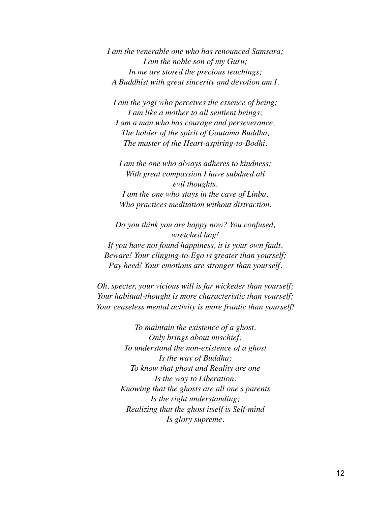*I am the venerable one who has renounced Samsara; I am the noble son of my Guru; In me are stored the precious teachings; A Buddhist with great sincerity and devotion am I.* 

*I am the yogi who perceives the essence of being; I am like a mother to all sentient beings; I am a man who has courage and perseverance, The holder of the spirit of Gautama Buddha, The master of the Heart-aspiring-to-Bodhi.* 

*I am the one who always adheres to kindness; With great compassion I have subdued all evil thoughts. I am the one who stays in the cave of Linba, Who practices meditation without distraction.* 

*Do you think you are happy now? You confused, wretched hag! If you have not found happiness, it is your own fault. Beware! Your clinging-to-Ego is greater than yourself; Pay heed! Your emotions are stronger than yourself.* 

*Oh, specter, your vicious will is far wickeder than yourself; Your habitual-thought is more characteristic than yourself; Your ceaseless mental activity is more frantic than yourself!* 

> *To maintain the existence of a ghost, Only brings about mischief; To understand the non-existence of a ghost Is the way of Buddha; To know that ghost and Reality are one Is the way to Liberation. Knowing that the ghosts are all one's parents Is the right understanding; Realizing that the ghost itself is Self-mind Is glory supreme.*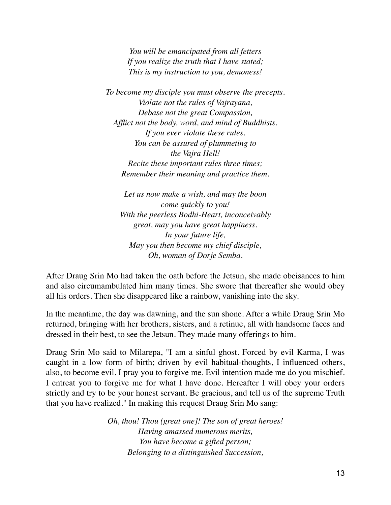*You will be emancipated from all fetters If you realize the truth that I have stated; This is my instruction to you, demoness!* 

*To become my disciple you must observe the precepts. Violate not the rules of Vajrayana, Debase not the great Compassion, Afflict not the body, word, and mind of Buddhists. If you ever violate these rules. You can be assured of plummeting to the Vajra Hell! Recite these important rules three times; Remember their meaning and practice them.* 

*Let us now make a wish, and may the boon come quickly to you! With the peerless Bodhi-Heart, inconceivably great, may you have great happiness. In your future life, May you then become my chief disciple, Oh, woman of Dorje Semba.*

After Draug Srin Mo had taken the oath before the Jetsun, she made obeisances to him and also circumambulated him many times. She swore that thereafter she would obey all his orders. Then she disappeared like a rainbow, vanishing into the sky.

In the meantime, the day was dawning, and the sun shone. After a while Draug Srin Mo returned, bringing with her brothers, sisters, and a retinue, all with handsome faces and dressed in their best, to see the Jetsun. They made many offerings to him.

Draug Srin Mo said to Milarepa, "I am a sinful ghost. Forced by evil Karma, I was caught in a low form of birth; driven by evil habitual-thoughts, I influenced others, also, to become evil. I pray you to forgive me. Evil intention made me do you mischief. I entreat you to forgive me for what I have done. Hereafter I will obey your orders strictly and try to be your honest servant. Be gracious, and tell us of the supreme Truth that you have realized." In making this request Draug Srin Mo sang:

> *Oh, thou! Thou (great one]! The son of great heroes! Having amassed numerous merits, You have become a gifted person; Belonging to a distinguished Succession,*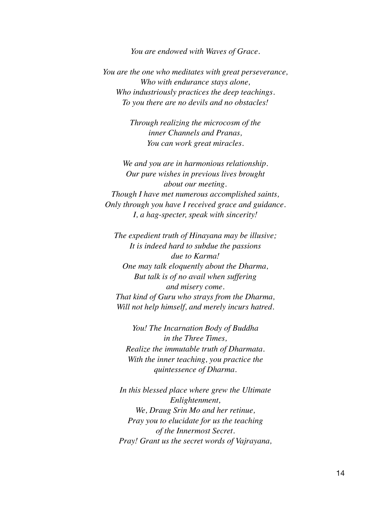*You are endowed with Waves of Grace.*

*You are the one who meditates with great perseverance, Who with endurance stays alone, Who industriously practices the deep teachings. To you there are no devils and no obstacles!* 

> *Through realizing the microcosm of the inner Channels and Pranas, You can work great miracles.*

*We and you are in harmonious relationship. Our pure wishes in previous lives brought about our meeting. Though I have met numerous accomplished saints, Only through you have I received grace and guidance. I, a hag-specter, speak with sincerity!* 

*The expedient truth of Hinayana may be illusive; It is indeed hard to subdue the passions due to Karma! One may talk eloquently about the Dharma, But talk is of no avail when suffering and misery come. That kind of Guru who strays from the Dharma, Will not help himself, and merely incurs hatred.* 

*You! The Incarnation Body of Buddha in the Three Times, Realize the immutable truth of Dharmata. With the inner teaching, you practice the quintessence of Dharma.*

*In this blessed place where grew the Ultimate Enlightenment, We, Draug Srin Mo and her retinue, Pray you to elucidate for us the teaching of the Innermost Secret. Pray! Grant us the secret words of Vajrayana,*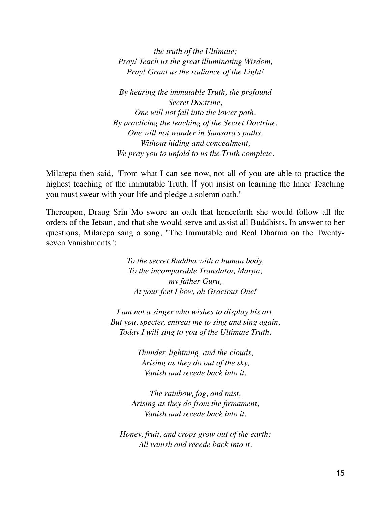*the truth of the Ultimate; Pray! Teach us the great illuminating Wisdom, Pray! Grant us the radiance of the Light!* 

*By hearing the immutable Truth, the profound Secret Doctrine, One will not fall into the lower path. By practicing the teaching of the Secret Doctrine, One will not wander in Samsara's paths. Without hiding and concealment, We pray you to unfold to us the Truth complete.* 

Milarepa then said, "From what I can see now, not all of you are able to practice the highest teaching of the immutable Truth. If you insist on learning the Inner Teaching you must swear with your life and pledge a solemn oath."

Thereupon, Draug Srin Mo swore an oath that henceforth she would follow all the orders of the Jetsun, and that she would serve and assist all Buddhists. In answer to her questions, Milarepa sang a song, "The Immutable and Real Dharma on the Twentyseven Vanishmcnts":

> *To the secret Buddha with a human body, To the incomparable Translator, Marpa, my father Guru, At your feet I bow, oh Gracious One!*

*I am not a singer who wishes to display his art, But you, specter, entreat me to sing and sing again. Today I will sing to you of the Ultimate Truth.* 

> *Thunder, lightning, and the clouds, Arising as they do out of the sky, Vanish and recede back into it.*

*The rainbow, fog, and mist, Arising as they do from the firmament, Vanish and recede back into it.* 

*Honey, fruit, and crops grow out of the earth; All vanish and recede back into it.*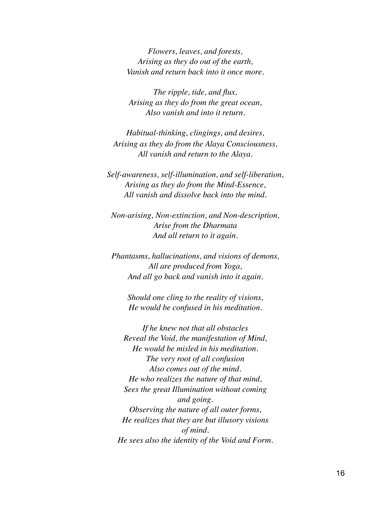*Flowers, leaves, and forests, Arising as they do out of the earth, Vanish and return back into it once more.* 

*The ripple, tide, and flux, Arising as they do from the great ocean, Also vanish and into it return.* 

*Habitual-thinking, clingings, and desires, Arising as they do from the Alaya Consciousness, All vanish and return to the Alaya.* 

*Self-awareness, self-illumination, and self-liberation, Arising as they do from the Mind-Essence, All vanish and dissolve back into the mind.* 

*Non-arising, Non-extinction, and Non-description, Arise from the Dharmata And all return to it again.* 

*Phantasms, hallucinations, and visions of demons, All are produced from Yoga, And all go back and vanish into it again.* 

*Should one cling to the reality of visions, He would be confused in his meditation.* 

*If he knew not that all obstacles Reveal the Void, the manifestation of Mind, He would be misled in his meditation. The very root of all confusion Also comes out of the mind. He who realizes the nature of that mind, Sees the great Illumination without coming and going. Observing the nature of all outer forms, He realizes that they are but illusory visions of mind. He sees also the identity of the Void and Form.*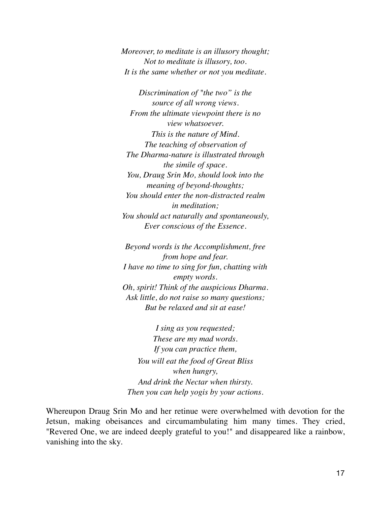*Moreover, to meditate is an illusory thought; Not to meditate is illusory, too. It is the same whether or not you meditate.* 

*Discrimination of "the two" is the source of all wrong views. From the ultimate viewpoint there is no view whatsoever. This is the nature of Mind. The teaching of observation of The Dharma-nature is illustrated through the simile of space. You, Draug Srin Mo, should look into the meaning of beyond-thoughts; You should enter the non-distracted realm in meditation; You should act naturally and spontaneously, Ever conscious of the Essence.* 

*Beyond words is the Accomplishment, free from hope and fear. I have no time to sing for fun, chatting with empty words. Oh, spirit! Think of the auspicious Dharma. Ask little, do not raise so many questions; But be relaxed and sit at ease!* 

*I sing as you requested; These are my mad words. If you can practice them, You will eat the food of Great Bliss when hungry, And drink the Nectar when thirsty. Then you can help yogis by your actions.* 

Whereupon Draug Srin Mo and her retinue were overwhelmed with devotion for the Jetsun, making obeisances and circumambulating him many times. They cried, "Revered One, we are indeed deeply grateful to you!" and disappeared like a rainbow, vanishing into the sky.